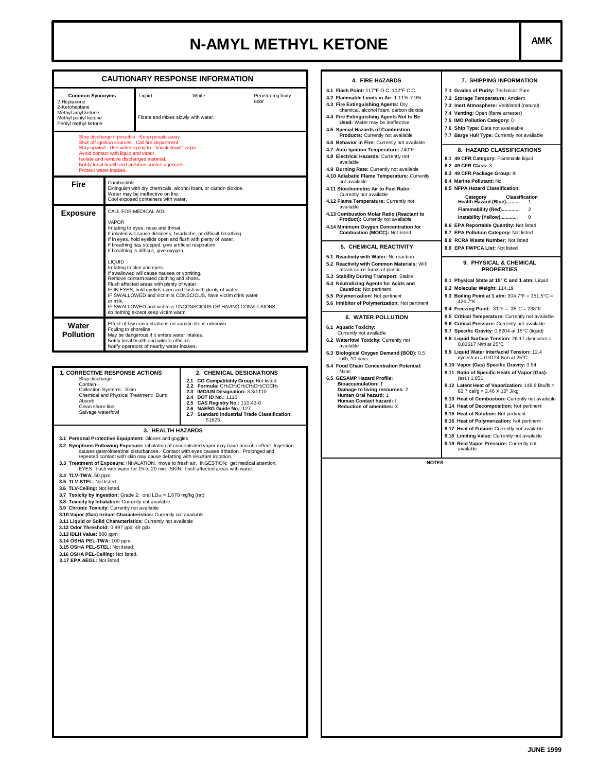## **N-AMYL METHYL KETONE**  $\left| \begin{array}{ccc} \text{AMK} & \text{AMK} \end{array} \right|$

|                                                                                                                                                                                                                                                                                                                                                                                                                                                                                                                                                                                                                                                                                                                                                                                                                                                                            | <b>CAUTIONARY RESPONSE INFORMATION</b>                                                                                                                                                                                                                                                                                                                                                                                                         |                                                                                                                                | 4. FIRE HAZARDS                                                                                                                                                                                                                                                                                                                                                                                                                                                                                                                 | 7. SHIPPING INFORMATION                                                                                                                                                                                                                                                                                                                                                                                                                                                                                                                            |  |  |
|----------------------------------------------------------------------------------------------------------------------------------------------------------------------------------------------------------------------------------------------------------------------------------------------------------------------------------------------------------------------------------------------------------------------------------------------------------------------------------------------------------------------------------------------------------------------------------------------------------------------------------------------------------------------------------------------------------------------------------------------------------------------------------------------------------------------------------------------------------------------------|------------------------------------------------------------------------------------------------------------------------------------------------------------------------------------------------------------------------------------------------------------------------------------------------------------------------------------------------------------------------------------------------------------------------------------------------|--------------------------------------------------------------------------------------------------------------------------------|---------------------------------------------------------------------------------------------------------------------------------------------------------------------------------------------------------------------------------------------------------------------------------------------------------------------------------------------------------------------------------------------------------------------------------------------------------------------------------------------------------------------------------|----------------------------------------------------------------------------------------------------------------------------------------------------------------------------------------------------------------------------------------------------------------------------------------------------------------------------------------------------------------------------------------------------------------------------------------------------------------------------------------------------------------------------------------------------|--|--|
| <b>Common Synonyms</b><br>Liquid<br>2-Heptanone<br>2-Ketoheptane<br>Methyl amyl ketone<br>Floats and mixes slowly with water.<br>Methyl pentyl ketone<br>Pentyl methyl ketone<br>Stop discharge if possible. Keep people away.<br>Shut off ignition sources. Call fire department.<br>Stay upwind. Use water spray to "knock down" vapor.<br>Avoid contact with liquid and vapor.<br>Isolate and remove discharged material.<br>Notify local health and pollution control agencies.                                                                                                                                                                                                                                                                                                                                                                                        |                                                                                                                                                                                                                                                                                                                                                                                                                                                | White<br>Penetrating fruity<br>odor                                                                                            | 4.1 Flash Point: 117°F O.C. 102°F C.C.<br>4.2 Flammable Limits in Air: 1.11%-7.9%<br>4.3 Fire Extinguishing Agents: Dry<br>chemical, alcohol foam, carbon dioxide<br>4.4 Fire Extinguishing Agents Not to Be<br>Used: Water may be ineffective.<br><b>Special Hazards of Combustion</b><br>4.5<br>Products: Currently not available<br>4.6 Behavior in Fire: Currently not available<br>4.7 Auto Ignition Temperature: 740°F<br>4.8 Electrical Hazards: Currently not<br>available<br>4.9 Burning Rate: Currently not available | 7.1 Grades of Purity: Technical; Pure<br>7.2 Storage Temperature: Ambient<br>7.3 Inert Atmosphere: Ventilated (natural)<br>7.4 Venting: Open (flame arrester)<br>7.5 IMO Pollution Category: D<br>7.6 Ship Type: Data not avaialable<br>7.7 Barge Hull Type: Currently not available<br>8. HAZARD CLASSIFICATIONS<br>8.1 49 CFR Category: Flammable liquid<br>8.2 49 CFR Class: 3                                                                                                                                                                  |  |  |
| Protect water intakes.<br>Fire                                                                                                                                                                                                                                                                                                                                                                                                                                                                                                                                                                                                                                                                                                                                                                                                                                             | Combustible.<br>Extinguish with dry chemicals, alcohol foam, or carbon dioxide.<br>Water may be ineffective on fire.<br>Cool exposed containers with water.                                                                                                                                                                                                                                                                                    |                                                                                                                                | 4.10 Adiabatic Flame Temperature: Currently<br>not available<br>4.11 Stoichometric Air to Fuel Ratio:<br>Currently not available<br>4.12 Flame Temperature: Currently not                                                                                                                                                                                                                                                                                                                                                       | 8.3 49 CFR Package Group: III<br>8.4 Marine Pollutant: No<br>8.5 NFPA Hazard Classification:<br><b>Classification</b><br>Category<br>Health Hazard (Blue)                                                                                                                                                                                                                                                                                                                                                                                          |  |  |
| <b>Exposure</b>                                                                                                                                                                                                                                                                                                                                                                                                                                                                                                                                                                                                                                                                                                                                                                                                                                                            | CALL FOR MEDICAL AID.<br><b>VAPOR</b><br>Irritating to eyes, nose and throat.<br>If inhaled will cause dizziness, headache, or difficult breathing.<br>If in eyes, hold eyelids open and flush with plenty of water.<br>If breathing has stopped, give artificial respiration.<br>If breathing is difficult, give oxygen.                                                                                                                      |                                                                                                                                | available<br>4.13 Combustion Molar Ratio (Reactant to<br>Product): Currently not available<br>4.14 Minimum Oxygen Concentration for<br>Combustion (MOCC): Not listed<br>5. CHEMICAL REACTIVITY                                                                                                                                                                                                                                                                                                                                  | Instability (Yellow)<br>0<br>8.6 EPA Reportable Quantity: Not listed<br>8.7 EPA Pollution Category: Not listed<br>8.8 RCRA Waste Number: Not listed<br>8.9 EPA FWPCA List: Not listed                                                                                                                                                                                                                                                                                                                                                              |  |  |
|                                                                                                                                                                                                                                                                                                                                                                                                                                                                                                                                                                                                                                                                                                                                                                                                                                                                            | <b>LIQUID</b><br>Irritating to skin and eyes.<br>If swallowed will cause nausea or vomiting.<br>Remove contaminated clothing and shoes.<br>Flush affected areas with plenty of water.<br>IF IN EYES, hold eyelids open and flush with plenty of water.<br>or milk.<br>do nothing except keep victim warm.                                                                                                                                      | IF SWALLOWED and victim is CONSCIOUS, have victim drink water<br>IF SWALLOWED and victim is UNCONSCIOUS OR HAVING CONVULSIONS, | 5.1 Reactivity with Water: No reaction<br>5.2 Reactivity with Common Materials: Will<br>attack some forms of plastic.<br>5.3 Stability During Transport: Stable<br>5.4 Neutralizing Agents for Acids and<br><b>Caustics: Not pertinent</b><br>5.5 Polymerization: Not pertinent<br>5.6 Inhibitor of Polymerization: Not pertinent                                                                                                                                                                                               | 9. PHYSICAL & CHEMICAL<br><b>PROPERTIES</b><br>9.1 Physical State at 15° C and 1 atm: Liquid<br>9.2 Molecular Weight: 114.19<br>9.3 Boiling Point at 1 atm: $304.7^{\circ}F = 151.5^{\circ}C =$<br>424.7°K<br>9.4 Freezing Point: -31°F = -35°C = 238°K                                                                                                                                                                                                                                                                                            |  |  |
| Water<br><b>Pollution</b>                                                                                                                                                                                                                                                                                                                                                                                                                                                                                                                                                                                                                                                                                                                                                                                                                                                  | Effect of low concentrations on aquatic life is unknown.<br>Fouling to shoreline.<br>May be dangerous if it enters water intakes.<br>Notify local health and wildlife officials.<br>Notify operators of nearby water intakes.                                                                                                                                                                                                                  |                                                                                                                                | <b>6. WATER POLLUTION</b><br>6.1 Aquatic Toxicity:<br>Currently not available<br>6.2 Waterfowl Toxicity: Currently not<br>available<br>6.3 Biological Oxygen Demand (BOD): 0.5                                                                                                                                                                                                                                                                                                                                                  | 9.5 Critical Temperature: Currently not available<br>9.6 Critical Pressure: Currently not available<br>9.7 Specific Gravity: 0.8204 at 15°C (liquid)<br>9.8 Liquid Surface Tension: 26.17 dynes/cm =<br>0.02617 N/m at 25°C<br>9.9 Liquid Water Interfacial Tension: 12.4<br>dynes/cm = $0.0124$ N/m at $25^{\circ}$ C                                                                                                                                                                                                                             |  |  |
| <b>1. CORRECTIVE RESPONSE ACTIONS</b><br>2. CHEMICAL DESIGNATIONS<br>Stop discharge<br>2.1 CG Compatibility Group: Not listed<br>Contain<br>2.2 Formula: CH3CH2CH2CH2CH2COCH3<br>Collection Systems: Skim<br>IMO/UN Designation: 3.3/1110<br>2.3<br>Chemical and Physical Treatment: Burn;<br>2.4 DOT ID No.: 1110<br>Absorb<br>2.5<br><b>CAS Registry No.: 110-43-0</b><br>Clean shore line<br>NAERG Guide No.: 127<br>2.6<br>Salvage waterfowl<br>2.7 Standard Industrial Trade Classification:<br>51625<br>3. HEALTH HAZARDS<br>3.1 Personal Protective Equipment: Gloves and goggles<br>3.2 Symptoms Following Exposure: Inhalation of concentrated vapor may have narcotic effect. Ingestion<br>causes gastrointestinal disturbances. Contact with eyes causes irritation. Prolonged and<br>repeated contact with skin may cause defatting with resultant irritation. |                                                                                                                                                                                                                                                                                                                                                                                                                                                |                                                                                                                                | 6.4 Food Chain Concentration Potential:<br>None<br>6.5 GESAMP Hazard Profile:<br><b>Bioaccumulation: T</b><br>Damage to living resources: 2<br>Human Oral hazard: 1<br>Human Contact hazard: I<br><b>Reduction of amenities: X</b>                                                                                                                                                                                                                                                                                              | 9.10 Vapor (Gas) Specific Gravity: 3.94<br>9.11 Ratio of Specific Heats of Vapor (Gas):<br>(est.) 1.051<br>9.12 Latent Heat of Vaporization: 148.9 Btu/lb =<br>82.7 cal/g = $3.46 \times 10^5$ J/kg<br>9.13 Heat of Combustion: Currently not available<br>9.14 Heat of Decomposition: Not pertinent<br>9.15 Heat of Solution: Not pertinent<br>9.16 Heat of Polymerization: Not pertinent<br>9.17 Heat of Fusion: Currently not available<br>9.18 Limiting Value: Currently not available<br>9.19 Reid Vapor Pressure: Currently not<br>available |  |  |
| 3.4 TLV-TWA: 50 ppm<br>3.5 TLV-STEL: Not listed.<br>3.6 TLV-Ceiling: Not listed.<br>3.13 IDLH Value: 800 ppm.<br>3.14 OSHA PEL-TWA: 100 ppm.<br>3.15 OSHA PEL-STEL: Not listed.<br>3.16 OSHA PEL-Ceiling: Not listed.<br>3.17 EPA AEGL: Not listed                                                                                                                                                                                                                                                                                                                                                                                                                                                                                                                                                                                                                         | EYES: flush with water for 15 to 20 min. SKIN: flush affected areas with water.<br>3.7 Toxicity by Ingestion: Grade 2; oral LDso = 1,670 mg/kg (rat)<br>3.8 Toxicity by Inhalation: Currently not available.<br>3.9 Chronic Toxicity: Currently not available<br>3.10 Vapor (Gas) Irritant Characteristics: Currently not available<br>3.11 Liquid or Solid Characteristics: Currently not available<br>3.12 Odor Threshold: 0.897 ppb; 49 ppb | 3.3 Treatment of Exposure: INHALATION: move to fresh air. INGESTION: get medical attention.                                    |                                                                                                                                                                                                                                                                                                                                                                                                                                                                                                                                 | <b>NOTES</b>                                                                                                                                                                                                                                                                                                                                                                                                                                                                                                                                       |  |  |